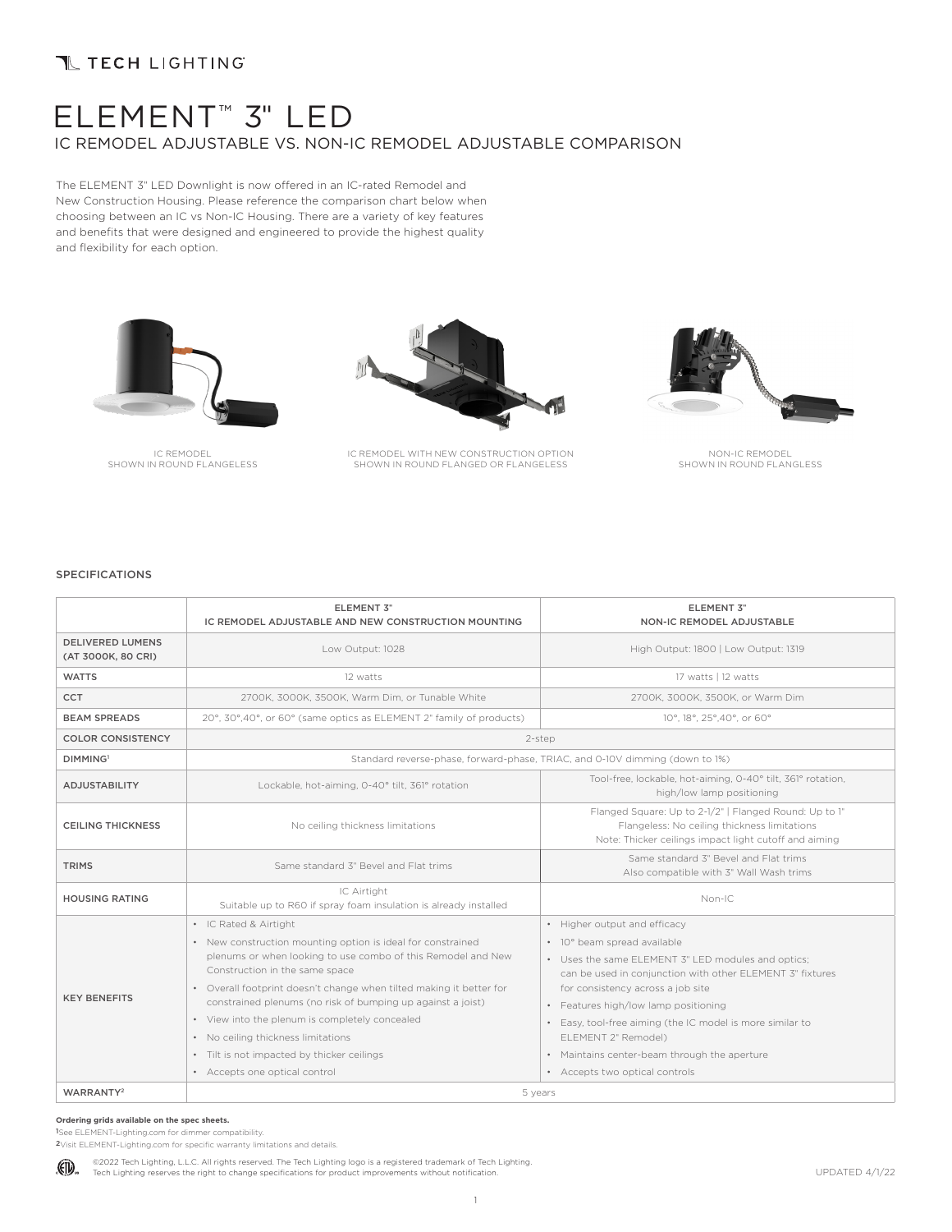### **TL TECH LIGHTING**

## ELEMENT™ 3" LED IC REMODEL ADJUSTABLE VS. NON-IC REMODEL ADJUSTABLE COMPARISON

The ELEMENT 3" LED Downlight is now offered in an IC-rated Remodel and New Construction Housing. Please reference the comparison chart below when choosing between an IC vs Non-IC Housing. There are a variety of key features and benefits that were designed and engineered to provide the highest quality and flexibility for each option.



IC REMODEL<br>SHOWN IN ROUND FLANGELESS



IC REMODEL WITH NEW CONSTRUCTION OPTION SHOWN IN ROUND FLANGED OR FLANGELESS



NON-IC REMODEL SHOWN IN ROUND FLANGLESS

#### SPECIFICATIONS

|                                               | <b>ELEMENT 3"</b><br>IC REMODEL ADJUSTABLE AND NEW CONSTRUCTION MOUNTING                                                                                                                                                                                                                                                                                                                                                                                                                            | <b>ELEMENT 3"</b><br><b>NON-IC REMODEL ADJUSTABLE</b>                                                                                                                                                                                                                                                                                                                                                                             |
|-----------------------------------------------|-----------------------------------------------------------------------------------------------------------------------------------------------------------------------------------------------------------------------------------------------------------------------------------------------------------------------------------------------------------------------------------------------------------------------------------------------------------------------------------------------------|-----------------------------------------------------------------------------------------------------------------------------------------------------------------------------------------------------------------------------------------------------------------------------------------------------------------------------------------------------------------------------------------------------------------------------------|
| <b>DELIVERED LUMENS</b><br>(AT 3000K, 80 CRI) | Low Output: 1028                                                                                                                                                                                                                                                                                                                                                                                                                                                                                    | High Output: 1800   Low Output: 1319                                                                                                                                                                                                                                                                                                                                                                                              |
| <b>WATTS</b>                                  | 12 watts                                                                                                                                                                                                                                                                                                                                                                                                                                                                                            | 17 watts   12 watts                                                                                                                                                                                                                                                                                                                                                                                                               |
| <b>CCT</b>                                    | 2700K, 3000K, 3500K, Warm Dim, or Tunable White                                                                                                                                                                                                                                                                                                                                                                                                                                                     | 2700K, 3000K, 3500K, or Warm Dim                                                                                                                                                                                                                                                                                                                                                                                                  |
| <b>BEAM SPREADS</b>                           | 20°, 30°,40°, or 60° (same optics as ELEMENT 2" family of products)                                                                                                                                                                                                                                                                                                                                                                                                                                 | 10°, 18°, 25°, 40°, or 60°                                                                                                                                                                                                                                                                                                                                                                                                        |
| <b>COLOR CONSISTENCY</b>                      | 2-step                                                                                                                                                                                                                                                                                                                                                                                                                                                                                              |                                                                                                                                                                                                                                                                                                                                                                                                                                   |
| <b>DIMMING</b> <sup>1</sup>                   | Standard reverse-phase, forward-phase, TRIAC, and 0-10V dimming (down to 1%)                                                                                                                                                                                                                                                                                                                                                                                                                        |                                                                                                                                                                                                                                                                                                                                                                                                                                   |
| <b>ADJUSTABILITY</b>                          | Lockable, hot-aiming, 0-40° tilt, 361° rotation                                                                                                                                                                                                                                                                                                                                                                                                                                                     | Tool-free, lockable, hot-aiming, 0-40° tilt, 361° rotation,<br>high/low lamp positioning                                                                                                                                                                                                                                                                                                                                          |
| <b>CEILING THICKNESS</b>                      | No ceiling thickness limitations                                                                                                                                                                                                                                                                                                                                                                                                                                                                    | Flanged Square: Up to 2-1/2"   Flanged Round: Up to 1"<br>Flangeless: No ceiling thickness limitations<br>Note: Thicker ceilings impact light cutoff and aiming                                                                                                                                                                                                                                                                   |
| <b>TRIMS</b>                                  | Same standard 3" Bevel and Flat trims                                                                                                                                                                                                                                                                                                                                                                                                                                                               | Same standard 3" Bevel and Flat trims<br>Also compatible with 3" Wall Wash trims                                                                                                                                                                                                                                                                                                                                                  |
| <b>HOUSING RATING</b>                         | IC Airtight<br>Suitable up to R60 if spray foam insulation is already installed                                                                                                                                                                                                                                                                                                                                                                                                                     | Non-IC                                                                                                                                                                                                                                                                                                                                                                                                                            |
| <b>KEY BENEFITS</b>                           | • IC Rated & Airtight<br>• New construction mounting option is ideal for constrained<br>plenums or when looking to use combo of this Remodel and New<br>Construction in the same space<br>• Overall footprint doesn't change when tilted making it better for<br>constrained plenums (no risk of bumping up against a joist)<br>• View into the plenum is completely concealed<br>• No ceiling thickness limitations<br>• Tilt is not impacted by thicker ceilings<br>• Accepts one optical control | • Higher output and efficacy<br>· 10° beam spread available<br>• Uses the same ELEMENT 3" LED modules and optics;<br>can be used in conjunction with other ELEMENT 3" fixtures<br>for consistency across a job site<br>• Features high/low lamp positioning<br>• Easy, tool-free aiming (the IC model is more similar to<br>ELEMENT 2" Remodel)<br>• Maintains center-beam through the aperture<br>• Accepts two optical controls |
| <b>WARRANTY2</b>                              | 5 years                                                                                                                                                                                                                                                                                                                                                                                                                                                                                             |                                                                                                                                                                                                                                                                                                                                                                                                                                   |

#### **Ordering grids available on the spec sheets.**

1See ELEMENT-Lighting.com for dimmer compatibility.

2Visit ELEMENT-Lighting.com for specific warranty limitations and details.

©2022 Tech Lighting, L.L.C. All rights reserved. The Tech Lighting logo is a registered trademark of Tech Lighting. (FD) Tech Lighting reserves the right to change specifications for product improvements without notification.